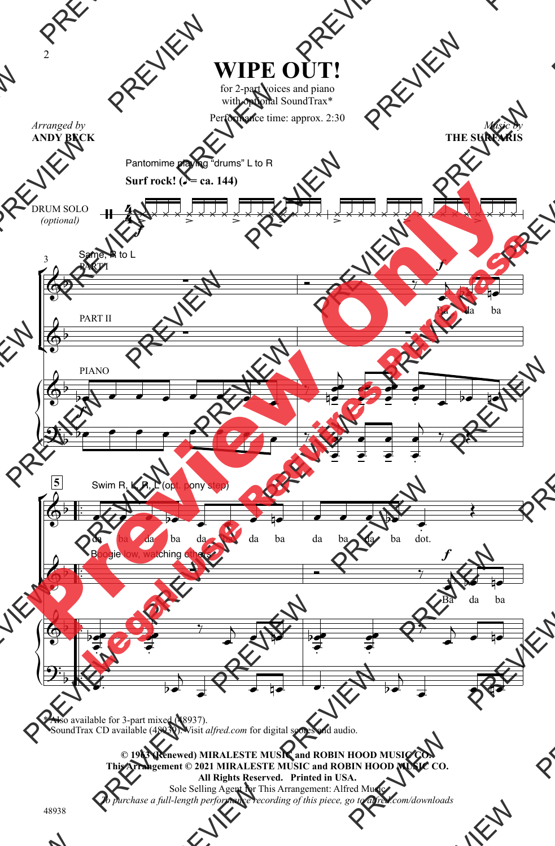## **WIPE OUT!**

for 2-part voices and piano with optional SoundTrax\*

Performance time: approx. 2:30



*Music by* **THE SURFARIS**



\* Also available for 3-part mixed (48937). SoundTrax CD available (48939). Visit *alfred.com* for digital scores and audio.

> **© 1963 (Renewed) MIRALESTE MUSIC and ROBIN HOOD MUSIC CO. This Arrangement © 2021 MIRALESTE MUSIC and ROBIN HOOD MUSIC CO. All Rights Reserved. Printed in USA.** Sole Selling Agent for This Arrangement: Alfred Music

*To purchase a full-length performance recording of this piece, go to alfred.com/downloads*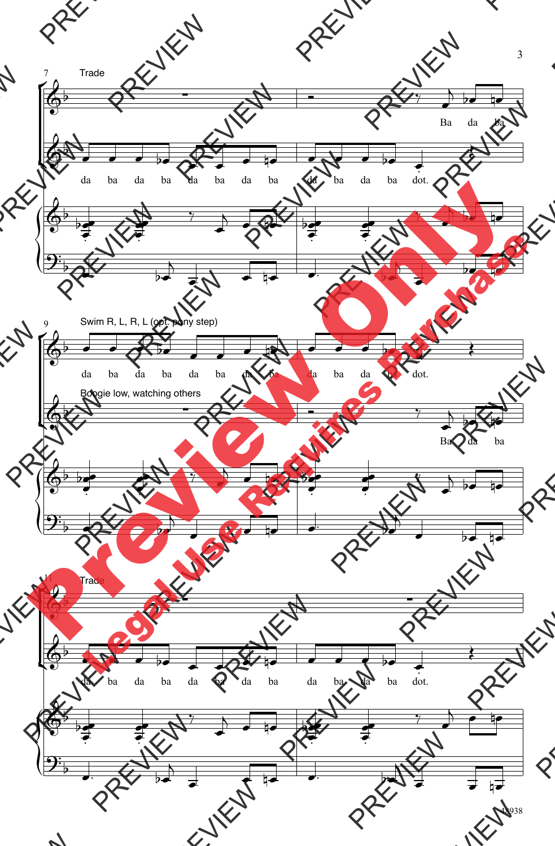

48938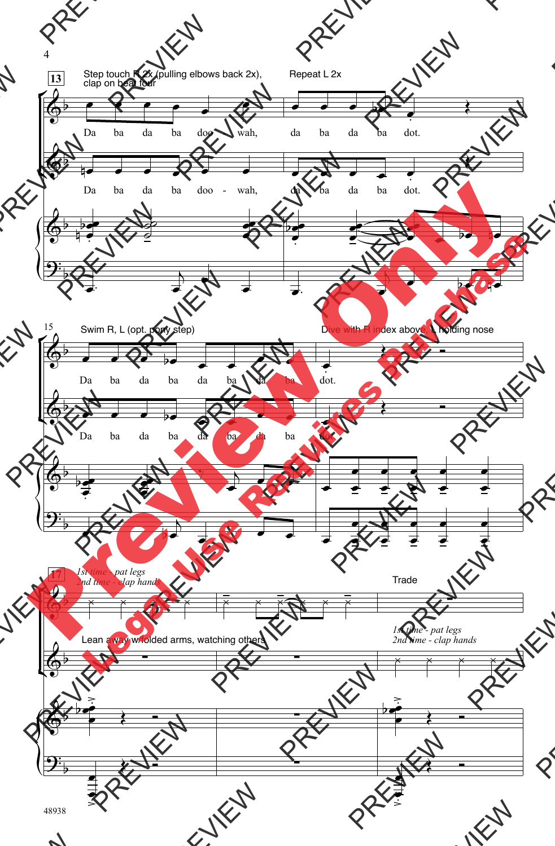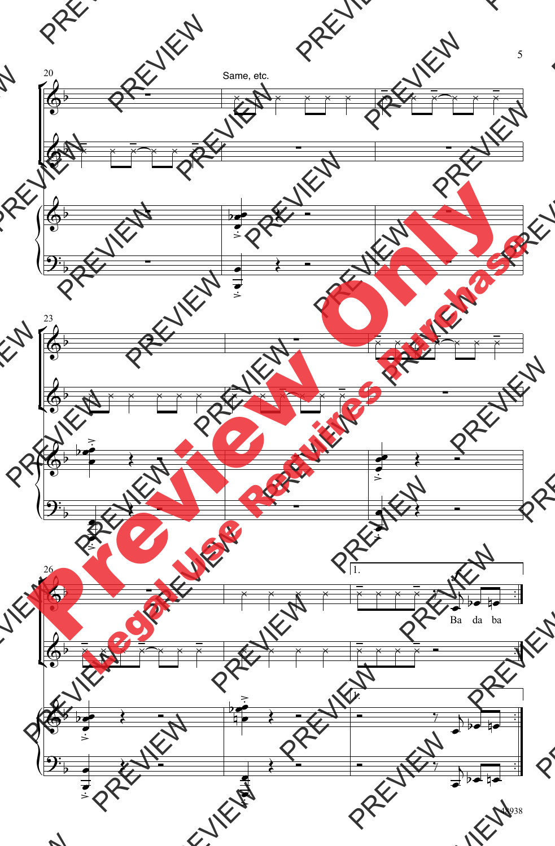

48938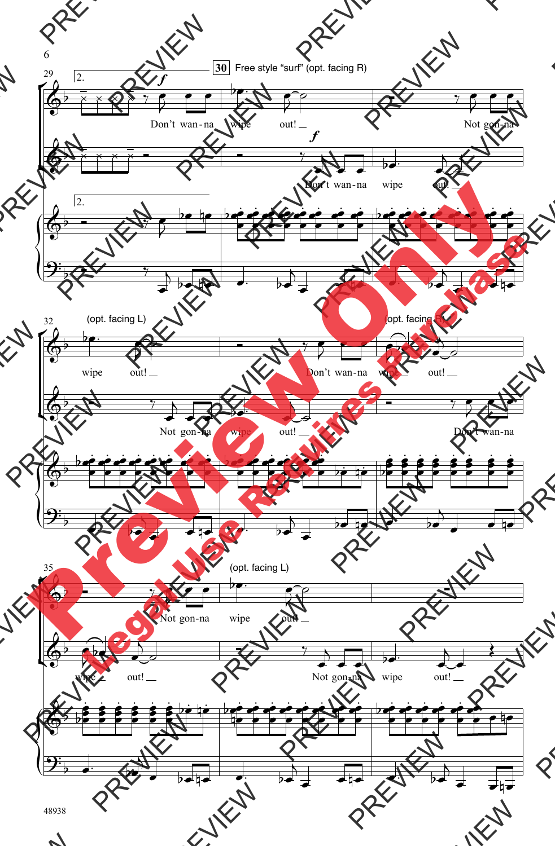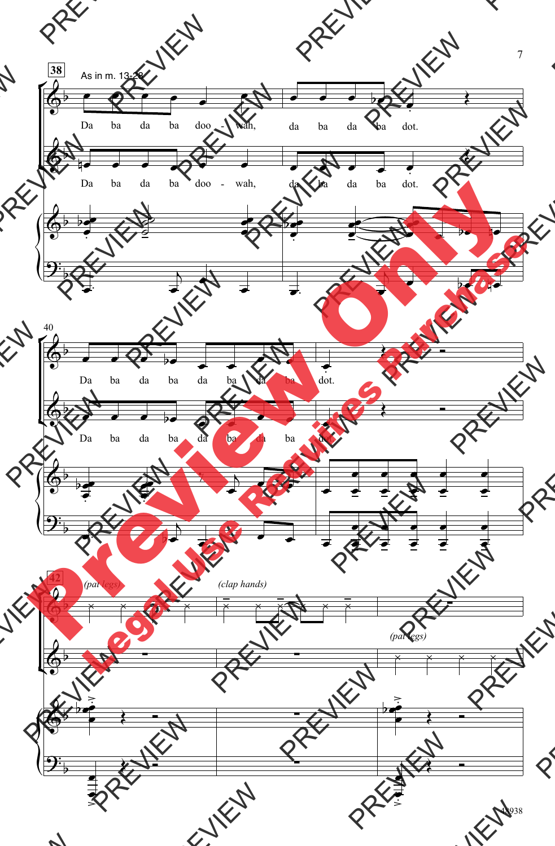

<sup>7</sup>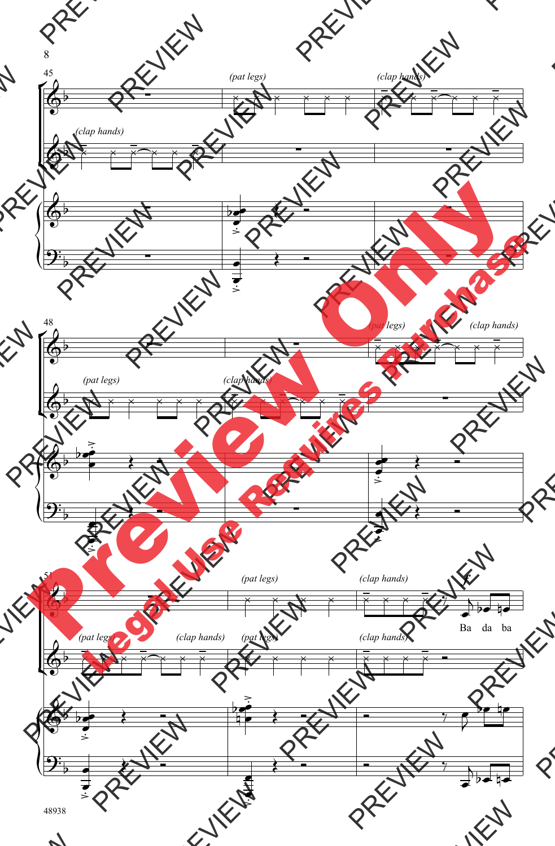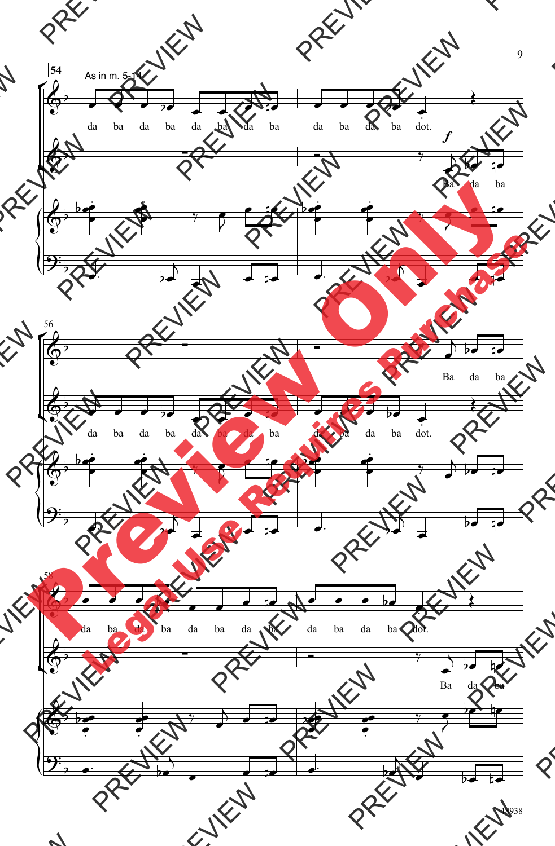

48938